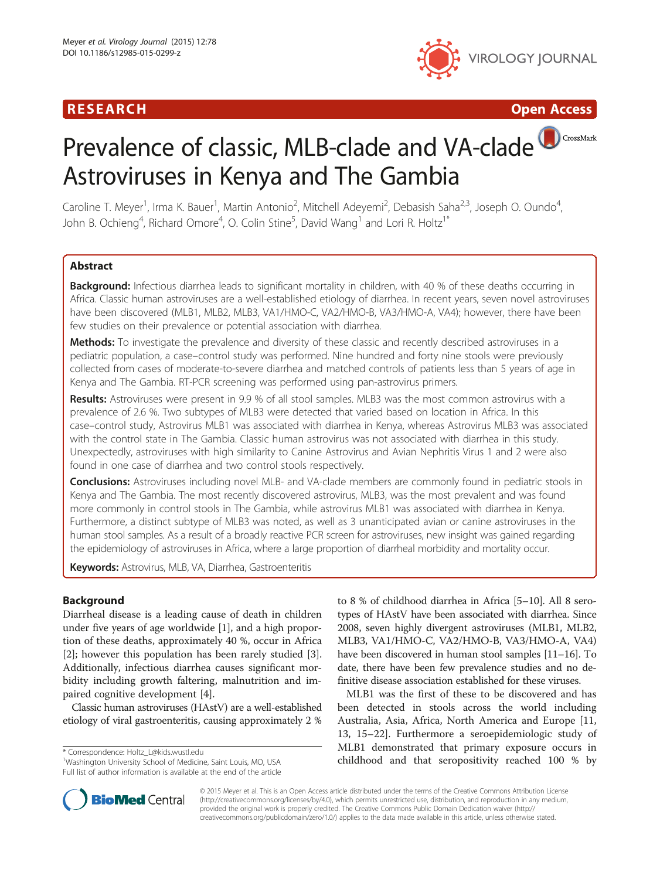# R E S EAR CH Open Access



# Prevalence of classic, MLB-clade and VA-clade CrossMark Astroviruses in Kenya and The Gambia

Caroline T. Meyer<sup>1</sup>, Irma K. Bauer<sup>1</sup>, Martin Antonio<sup>2</sup>, Mitchell Adeyemi<sup>2</sup>, Debasish Saha<sup>2,3</sup>, Joseph O. Oundo<sup>4</sup> , John B. Ochieng<sup>4</sup>, Richard Omore<sup>4</sup>, O. Colin Stine<sup>5</sup>, David Wang<sup>1</sup> and Lori R. Holtz<sup>1\*</sup>

# **Abstract**

Background: Infectious diarrhea leads to significant mortality in children, with 40 % of these deaths occurring in Africa. Classic human astroviruses are a well-established etiology of diarrhea. In recent years, seven novel astroviruses have been discovered (MLB1, MLB2, MLB3, VA1/HMO-C, VA2/HMO-B, VA3/HMO-A, VA4); however, there have been few studies on their prevalence or potential association with diarrhea.

**Methods:** To investigate the prevalence and diversity of these classic and recently described astroviruses in a pediatric population, a case–control study was performed. Nine hundred and forty nine stools were previously collected from cases of moderate-to-severe diarrhea and matched controls of patients less than 5 years of age in Kenya and The Gambia. RT-PCR screening was performed using pan-astrovirus primers.

Results: Astroviruses were present in 9.9 % of all stool samples. MLB3 was the most common astrovirus with a prevalence of 2.6 %. Two subtypes of MLB3 were detected that varied based on location in Africa. In this case–control study, Astrovirus MLB1 was associated with diarrhea in Kenya, whereas Astrovirus MLB3 was associated with the control state in The Gambia. Classic human astrovirus was not associated with diarrhea in this study. Unexpectedly, astroviruses with high similarity to Canine Astrovirus and Avian Nephritis Virus 1 and 2 were also found in one case of diarrhea and two control stools respectively.

**Conclusions:** Astroviruses including novel MLB- and VA-clade members are commonly found in pediatric stools in Kenya and The Gambia. The most recently discovered astrovirus, MLB3, was the most prevalent and was found more commonly in control stools in The Gambia, while astrovirus MLB1 was associated with diarrhea in Kenya. Furthermore, a distinct subtype of MLB3 was noted, as well as 3 unanticipated avian or canine astroviruses in the human stool samples. As a result of a broadly reactive PCR screen for astroviruses, new insight was gained regarding the epidemiology of astroviruses in Africa, where a large proportion of diarrheal morbidity and mortality occur.

Keywords: Astrovirus, MLB, VA, Diarrhea, Gastroenteritis

# **Background**

Diarrheal disease is a leading cause of death in children under five years of age worldwide [\[1\]](#page-5-0), and a high proportion of these deaths, approximately 40 %, occur in Africa [[2\]](#page-5-0); however this population has been rarely studied [\[3](#page-5-0)]. Additionally, infectious diarrhea causes significant morbidity including growth faltering, malnutrition and impaired cognitive development [[4\]](#page-5-0).

Classic human astroviruses (HAstV) are a well-established etiology of viral gastroenteritis, causing approximately 2 %

<sup>1</sup>Washington University School of Medicine, Saint Louis, MO, USA Full list of author information is available at the end of the article

to 8 % of childhood diarrhea in Africa [[5](#page-6-0)–[10\]](#page-6-0). All 8 serotypes of HAstV have been associated with diarrhea. Since 2008, seven highly divergent astroviruses (MLB1, MLB2, MLB3, VA1/HMO-C, VA2/HMO-B, VA3/HMO-A, VA4) have been discovered in human stool samples [\[11](#page-6-0)–[16](#page-6-0)]. To date, there have been few prevalence studies and no definitive disease association established for these viruses.

MLB1 was the first of these to be discovered and has been detected in stools across the world including Australia, Asia, Africa, North America and Europe [[11](#page-6-0), [13, 15](#page-6-0)–[22](#page-6-0)]. Furthermore a seroepidemiologic study of MLB1 demonstrated that primary exposure occurs in correspondence: [Holtz\\_L@kids.wustl.edu](mailto:Holtz_L@kids.wustl.edu)<br>
<sup>1</sup>Washington University School of Medicine, Saint Louis, MO, USA **hildhood and that seropositivity reached 100 % by** 



© 2015 Meyer et al. This is an Open Access article distributed under the terms of the Creative Commons Attribution License [\(http://creativecommons.org/licenses/by/4.0\)](http://creativecommons.org/licenses/by/4.0), which permits unrestricted use, distribution, and reproduction in any medium, provided the original work is properly credited. The Creative Commons Public Domain Dedication waiver [\(http://](http://creativecommons.org/publicdomain/zero/1.0/) [creativecommons.org/publicdomain/zero/1.0/\)](http://creativecommons.org/publicdomain/zero/1.0/) applies to the data made available in this article, unless otherwise stated.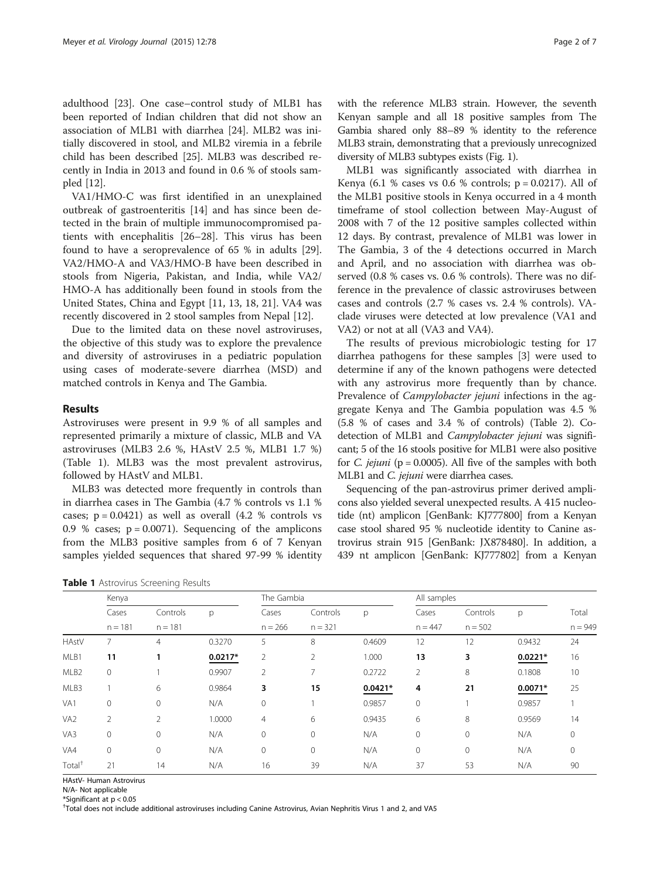adulthood [\[23](#page-6-0)]. One case–control study of MLB1 has been reported of Indian children that did not show an association of MLB1 with diarrhea [\[24\]](#page-6-0). MLB2 was initially discovered in stool, and MLB2 viremia in a febrile child has been described [\[25\]](#page-6-0). MLB3 was described recently in India in 2013 and found in 0.6 % of stools sampled [\[12](#page-6-0)].

VA1/HMO-C was first identified in an unexplained outbreak of gastroenteritis [[14](#page-6-0)] and has since been detected in the brain of multiple immunocompromised patients with encephalitis [[26](#page-6-0)–[28](#page-6-0)]. This virus has been found to have a seroprevalence of 65 % in adults [\[29](#page-6-0)]. VA2/HMO-A and VA3/HMO-B have been described in stools from Nigeria, Pakistan, and India, while VA2/ HMO-A has additionally been found in stools from the United States, China and Egypt [\[11](#page-6-0), [13](#page-6-0), [18](#page-6-0), [21](#page-6-0)]. VA4 was recently discovered in 2 stool samples from Nepal [[12\]](#page-6-0).

Due to the limited data on these novel astroviruses, the objective of this study was to explore the prevalence and diversity of astroviruses in a pediatric population using cases of moderate-severe diarrhea (MSD) and matched controls in Kenya and The Gambia.

## Results

Astroviruses were present in 9.9 % of all samples and represented primarily a mixture of classic, MLB and VA astroviruses (MLB3 2.6 %, HAstV 2.5 %, MLB1 1.7 %) (Table 1). MLB3 was the most prevalent astrovirus, followed by HAstV and MLB1.

MLB3 was detected more frequently in controls than in diarrhea cases in The Gambia (4.7 % controls vs 1.1 % cases;  $p = 0.0421$ ) as well as overall  $(4.2 %$  controls vs 0.9 % cases;  $p = 0.0071$ ). Sequencing of the amplicons from the MLB3 positive samples from 6 of 7 Kenyan samples yielded sequences that shared 97-99 % identity

| Table 1 Astrovirus Screening Results |  |
|--------------------------------------|--|
|--------------------------------------|--|

with the reference MLB3 strain. However, the seventh Kenyan sample and all 18 positive samples from The Gambia shared only 88–89 % identity to the reference MLB3 strain, demonstrating that a previously unrecognized diversity of MLB3 subtypes exists (Fig. [1\)](#page-2-0).

MLB1 was significantly associated with diarrhea in Kenya (6.1 % cases vs 0.6 % controls;  $p = 0.0217$ ). All of the MLB1 positive stools in Kenya occurred in a 4 month timeframe of stool collection between May-August of 2008 with 7 of the 12 positive samples collected within 12 days. By contrast, prevalence of MLB1 was lower in The Gambia, 3 of the 4 detections occurred in March and April, and no association with diarrhea was observed (0.8 % cases vs. 0.6 % controls). There was no difference in the prevalence of classic astroviruses between cases and controls (2.7 % cases vs. 2.4 % controls). VAclade viruses were detected at low prevalence (VA1 and VA2) or not at all (VA3 and VA4).

The results of previous microbiologic testing for 17 diarrhea pathogens for these samples [[3\]](#page-5-0) were used to determine if any of the known pathogens were detected with any astrovirus more frequently than by chance. Prevalence of *Campylobacter jejuni* infections in the aggregate Kenya and The Gambia population was 4.5 % (5.8 % of cases and 3.4 % of controls) (Table [2](#page-2-0)). Codetection of MLB1 and Campylobacter jejuni was significant; 5 of the 16 stools positive for MLB1 were also positive for *C. jejuni* ( $p = 0.0005$ ). All five of the samples with both MLB1 and C. jejuni were diarrhea cases.

Sequencing of the pan-astrovirus primer derived amplicons also yielded several unexpected results. A 415 nucleotide (nt) amplicon [GenBank: KJ777800] from a Kenyan case stool shared 95 % nucleotide identity to Canine astrovirus strain 915 [GenBank: JX878480]. In addition, a 439 nt amplicon [GenBank: KJ777802] from a Kenyan

|                    | Kenya              |                |           | The Gambia         |                       |           | All samples        |                       |           |           |
|--------------------|--------------------|----------------|-----------|--------------------|-----------------------|-----------|--------------------|-----------------------|-----------|-----------|
|                    | Cases<br>$n = 181$ | Controls       | p         | Cases<br>$n = 266$ | Controls<br>$n = 321$ | p         | Cases<br>$n = 447$ | Controls<br>$n = 502$ | р         | Total     |
|                    |                    | $n = 181$      |           |                    |                       |           |                    |                       |           | $n = 949$ |
| <b>HAstV</b>       | 7                  | 4              | 0.3270    | 5                  | 8                     | 0.4609    | 12                 | 12                    | 0.9432    | 24        |
| MLB1               | 11                 |                | $0.0217*$ | $\overline{2}$     | 2                     | 1.000     | 13                 | 3                     | $0.0221*$ | 16        |
| MLB <sub>2</sub>   | 0                  |                | 0.9907    | $\overline{2}$     |                       | 0.2722    | 2                  | 8                     | 0.1808    | 10        |
| MLB3               |                    | 6              | 0.9864    | 3                  | 15                    | $0.0421*$ | 4                  | 21                    | $0.0071*$ | 25        |
| VA1                | $\mathbf{0}$       | $\Omega$       | N/A       | $\mathbf 0$        |                       | 0.9857    | $\mathbf{0}$       |                       | 0.9857    |           |
| VA <sub>2</sub>    | $\overline{2}$     | $\overline{2}$ | 1.0000    | 4                  | 6                     | 0.9435    | 6                  | 8                     | 0.9569    | 14        |
| VA3                | $\mathbf 0$        | $\mathbf 0$    | N/A       | 0                  | 0                     | N/A       | $\circ$            | 0                     | N/A       | $\circ$   |
| VA4                | $\mathbf 0$        | $\mathbf{0}$   | N/A       | 0                  | 0                     | N/A       | $\circ$            | $\circ$               | N/A       | $\circ$   |
| Total <sup>†</sup> | 21                 | 14             | N/A       | 16                 | 39                    | N/A       | 37                 | 53                    | N/A       | 90        |

HAstV- Human Astrovirus

N/A- Not applicable

\*Significant at p < 0.05

† Total does not include additional astroviruses including Canine Astrovirus, Avian Nephritis Virus 1 and 2, and VA5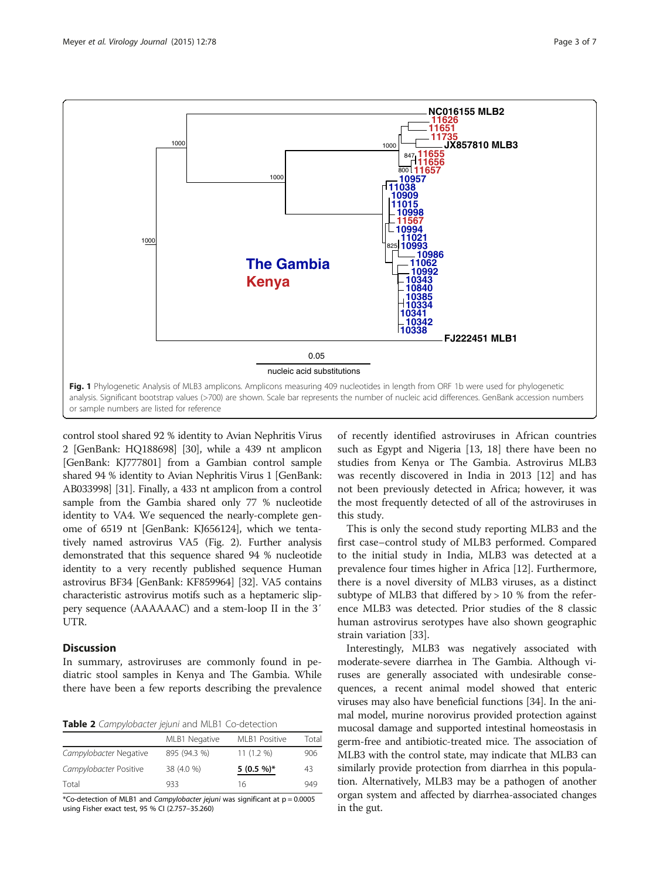<span id="page-2-0"></span>

control stool shared 92 % identity to Avian Nephritis Virus 2 [GenBank: HQ188698] [\[30](#page-6-0)], while a 439 nt amplicon [GenBank: KJ777801] from a Gambian control sample shared 94 % identity to Avian Nephritis Virus 1 [GenBank: AB033998] [\[31\]](#page-6-0). Finally, a 433 nt amplicon from a control sample from the Gambia shared only 77 % nucleotide identity to VA4. We sequenced the nearly-complete genome of 6519 nt [GenBank: KJ656124], which we tentatively named astrovirus VA5 (Fig. [2](#page-3-0)). Further analysis demonstrated that this sequence shared 94 % nucleotide identity to a very recently published sequence Human astrovirus BF34 [GenBank: KF859964] [\[32\]](#page-6-0). VA5 contains characteristic astrovirus motifs such as a heptameric slippery sequence (AAAAAAC) and a stem-loop II in the 3′ UTR.

## **Discussion**

In summary, astroviruses are commonly found in pediatric stool samples in Kenya and The Gambia. While there have been a few reports describing the prevalence

Table 2 Campylobacter jejuni and MLB1 Co-detection

| MLB1 Negative | MLB1 Positive | Total |
|---------------|---------------|-------|
| 895 (94.3 %)  | $11(1.2\%)$   | 906   |
| 38 (4.0 %)    | $5(0.5\%)*$   | 43    |
| 933           | 16            | 949   |
|               |               |       |

\*Co-detection of MLB1 and Campylobacter jejuni was significant at  $p = 0.0005$ using Fisher exact test, 95 % CI (2.757–35.260)

of recently identified astroviruses in African countries such as Egypt and Nigeria [[13](#page-6-0), [18](#page-6-0)] there have been no studies from Kenya or The Gambia. Astrovirus MLB3 was recently discovered in India in 2013 [[12](#page-6-0)] and has not been previously detected in Africa; however, it was the most frequently detected of all of the astroviruses in this study.

This is only the second study reporting MLB3 and the first case–control study of MLB3 performed. Compared to the initial study in India, MLB3 was detected at a prevalence four times higher in Africa [\[12](#page-6-0)]. Furthermore, there is a novel diversity of MLB3 viruses, as a distinct subtype of MLB3 that differed by  $> 10$  % from the reference MLB3 was detected. Prior studies of the 8 classic human astrovirus serotypes have also shown geographic strain variation [[33](#page-6-0)].

Interestingly, MLB3 was negatively associated with moderate-severe diarrhea in The Gambia. Although viruses are generally associated with undesirable consequences, a recent animal model showed that enteric viruses may also have beneficial functions [\[34\]](#page-6-0). In the animal model, murine norovirus provided protection against mucosal damage and supported intestinal homeostasis in germ-free and antibiotic-treated mice. The association of MLB3 with the control state, may indicate that MLB3 can similarly provide protection from diarrhea in this population. Alternatively, MLB3 may be a pathogen of another organ system and affected by diarrhea-associated changes in the gut.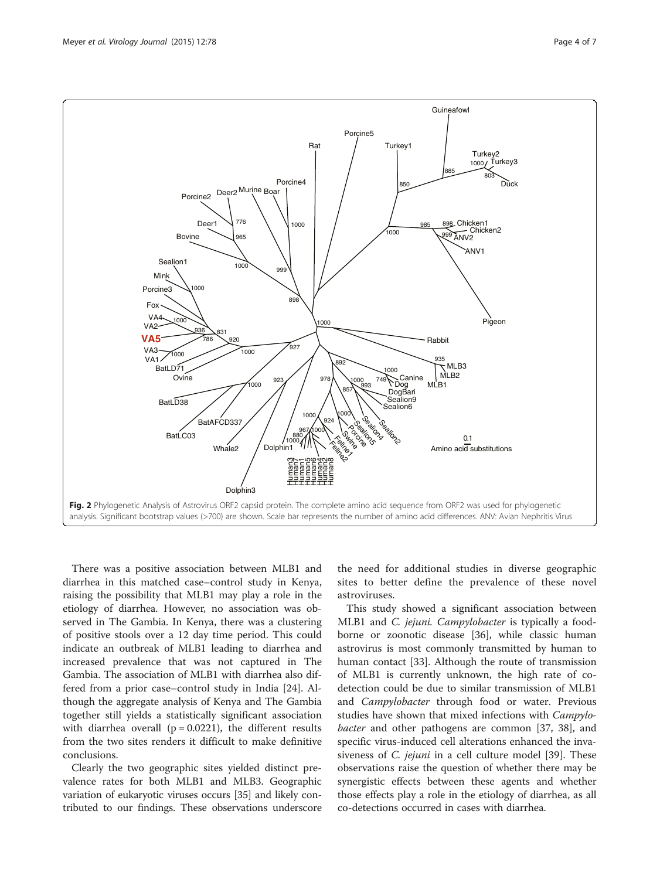<span id="page-3-0"></span>

There was a positive association between MLB1 and diarrhea in this matched case–control study in Kenya, raising the possibility that MLB1 may play a role in the etiology of diarrhea. However, no association was observed in The Gambia. In Kenya, there was a clustering of positive stools over a 12 day time period. This could indicate an outbreak of MLB1 leading to diarrhea and increased prevalence that was not captured in The Gambia. The association of MLB1 with diarrhea also differed from a prior case–control study in India [[24](#page-6-0)]. Although the aggregate analysis of Kenya and The Gambia together still yields a statistically significant association with diarrhea overall ( $p = 0.0221$ ), the different results from the two sites renders it difficult to make definitive conclusions.

Clearly the two geographic sites yielded distinct prevalence rates for both MLB1 and MLB3. Geographic variation of eukaryotic viruses occurs [\[35\]](#page-6-0) and likely contributed to our findings. These observations underscore

the need for additional studies in diverse geographic sites to better define the prevalence of these novel astroviruses.

This study showed a significant association between MLB1 and C. jejuni. Campylobacter is typically a foodborne or zoonotic disease [[36\]](#page-6-0), while classic human astrovirus is most commonly transmitted by human to human contact [\[33](#page-6-0)]. Although the route of transmission of MLB1 is currently unknown, the high rate of codetection could be due to similar transmission of MLB1 and Campylobacter through food or water. Previous studies have shown that mixed infections with Campylobacter and other pathogens are common [\[37](#page-6-0), [38\]](#page-6-0), and specific virus-induced cell alterations enhanced the invasiveness of *C. jejuni* in a cell culture model [\[39](#page-6-0)]. These observations raise the question of whether there may be synergistic effects between these agents and whether those effects play a role in the etiology of diarrhea, as all co-detections occurred in cases with diarrhea.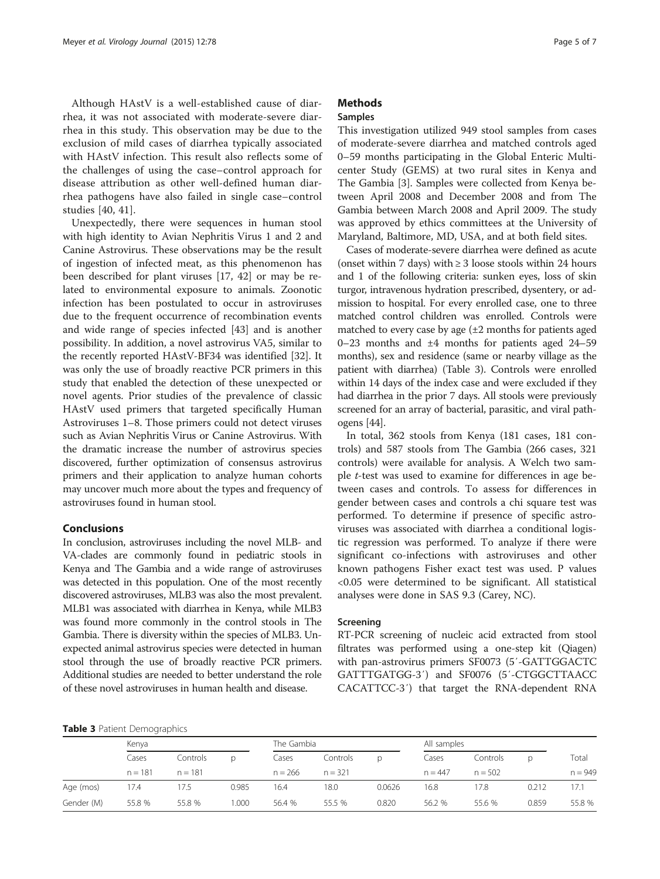Although HAstV is a well-established cause of diarrhea, it was not associated with moderate-severe diarrhea in this study. This observation may be due to the exclusion of mild cases of diarrhea typically associated with HAstV infection. This result also reflects some of the challenges of using the case–control approach for disease attribution as other well-defined human diarrhea pathogens have also failed in single case–control studies [[40, 41](#page-6-0)].

Unexpectedly, there were sequences in human stool with high identity to Avian Nephritis Virus 1 and 2 and Canine Astrovirus. These observations may be the result of ingestion of infected meat, as this phenomenon has been described for plant viruses [[17](#page-6-0), [42](#page-6-0)] or may be related to environmental exposure to animals. Zoonotic infection has been postulated to occur in astroviruses due to the frequent occurrence of recombination events and wide range of species infected [[43](#page-6-0)] and is another possibility. In addition, a novel astrovirus VA5, similar to the recently reported HAstV-BF34 was identified [[32\]](#page-6-0). It was only the use of broadly reactive PCR primers in this study that enabled the detection of these unexpected or novel agents. Prior studies of the prevalence of classic HAstV used primers that targeted specifically Human Astroviruses 1–8. Those primers could not detect viruses such as Avian Nephritis Virus or Canine Astrovirus. With the dramatic increase the number of astrovirus species discovered, further optimization of consensus astrovirus primers and their application to analyze human cohorts may uncover much more about the types and frequency of astroviruses found in human stool.

## Conclusions

In conclusion, astroviruses including the novel MLB- and VA-clades are commonly found in pediatric stools in Kenya and The Gambia and a wide range of astroviruses was detected in this population. One of the most recently discovered astroviruses, MLB3 was also the most prevalent. MLB1 was associated with diarrhea in Kenya, while MLB3 was found more commonly in the control stools in The Gambia. There is diversity within the species of MLB3. Unexpected animal astrovirus species were detected in human stool through the use of broadly reactive PCR primers. Additional studies are needed to better understand the role of these novel astroviruses in human health and disease.

# **Methods**

## Samples

This investigation utilized 949 stool samples from cases of moderate-severe diarrhea and matched controls aged 0–59 months participating in the Global Enteric Multicenter Study (GEMS) at two rural sites in Kenya and The Gambia [\[3](#page-5-0)]. Samples were collected from Kenya between April 2008 and December 2008 and from The Gambia between March 2008 and April 2009. The study was approved by ethics committees at the University of Maryland, Baltimore, MD, USA, and at both field sites.

Cases of moderate-severe diarrhea were defined as acute (onset within 7 days) with  $\geq$  3 loose stools within 24 hours and 1 of the following criteria: sunken eyes, loss of skin turgor, intravenous hydration prescribed, dysentery, or admission to hospital. For every enrolled case, one to three matched control children was enrolled. Controls were matched to every case by age  $(\pm 2$  months for patients aged 0–23 months and ±4 months for patients aged 24–59 months), sex and residence (same or nearby village as the patient with diarrhea) (Table 3). Controls were enrolled within 14 days of the index case and were excluded if they had diarrhea in the prior 7 days. All stools were previously screened for an array of bacterial, parasitic, and viral pathogens [\[44\]](#page-6-0).

In total, 362 stools from Kenya (181 cases, 181 controls) and 587 stools from The Gambia (266 cases, 321 controls) were available for analysis. A Welch two sample t-test was used to examine for differences in age between cases and controls. To assess for differences in gender between cases and controls a chi square test was performed. To determine if presence of specific astroviruses was associated with diarrhea a conditional logistic regression was performed. To analyze if there were significant co-infections with astroviruses and other known pathogens Fisher exact test was used. P values <0.05 were determined to be significant. All statistical analyses were done in SAS 9.3 (Carey, NC).

## Screening

RT-PCR screening of nucleic acid extracted from stool filtrates was performed using a one-step kit (Qiagen) with pan-astrovirus primers SF0073 (5′-GATTGGACTC GATTTGATGG-3′) and SF0076 (5′-CTGGCTTAACC CACATTCC-3′) that target the RNA-dependent RNA

| Table 3 Patient Demographics |  |
|------------------------------|--|
|------------------------------|--|

|            | Kenya              |           |          | The Gambia |           |          | All samples |           |          |           |       |
|------------|--------------------|-----------|----------|------------|-----------|----------|-------------|-----------|----------|-----------|-------|
|            | Cases<br>$n = 181$ |           | Controls | D          | Cases     | Controls | D           | Cases     | Controls | D.        | Total |
|            |                    | $n = 181$ |          | $n = 266$  | $n = 321$ |          | $n = 447$   | $n = 502$ |          | $n = 949$ |       |
| Age (mos)  | 17.4               | 17.5      | 0.985    | 16.4       | 18.0      | 0.0626   | 16.8        | 7.8       | 0.212    | 17.1      |       |
| Gender (M) | 55.8 %             | 55.8 %    | 1.000    | 56.4 %     | 55.5 %    | 0.820    | 56.2 %      | 55.6 %    | 0.859    | 55.8 %    |       |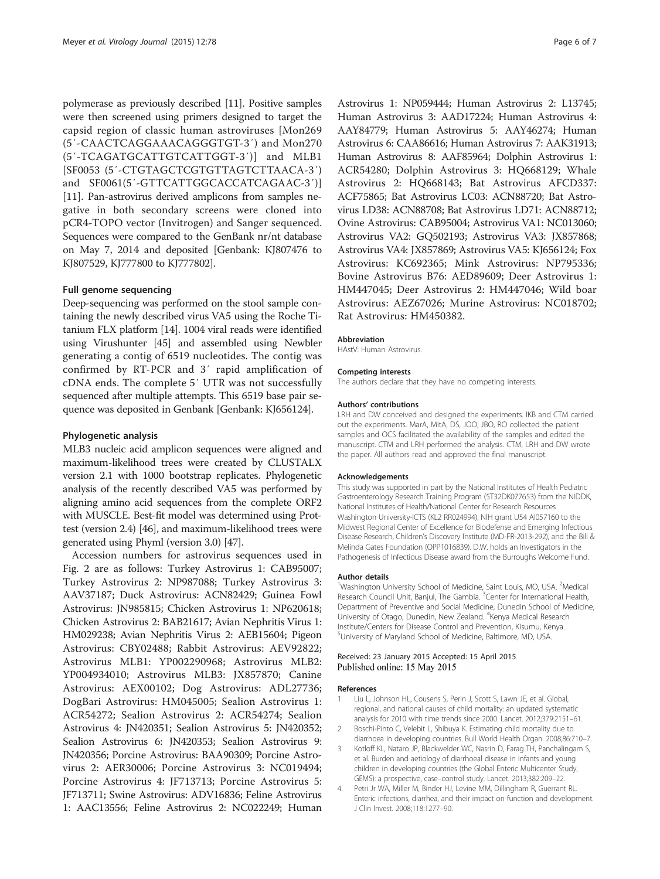<span id="page-5-0"></span>polymerase as previously described [\[11\]](#page-6-0). Positive samples were then screened using primers designed to target the capsid region of classic human astroviruses [Mon269 (5′-CAACTCAGGAAACAGGGTGT-3′) and Mon270 (5′-TCAGATGCATTGTCATTGGT-3′)] and MLB1 [SF0053 (5′-CTGTAGCTCGTGTTAGTCTTAACA-3′) and SF0061(5′-GTTCATTGGCACCATCAGAAC-3′)] [[11\]](#page-6-0). Pan-astrovirus derived amplicons from samples negative in both secondary screens were cloned into pCR4-TOPO vector (Invitrogen) and Sanger sequenced. Sequences were compared to the GenBank nr/nt database on May 7, 2014 and deposited [Genbank: KJ807476 to KJ807529, KJ777800 to KJ777802].

## Full genome sequencing

Deep-sequencing was performed on the stool sample containing the newly described virus VA5 using the Roche Titanium FLX platform [\[14\]](#page-6-0). 1004 viral reads were identified using Virushunter [[45](#page-6-0)] and assembled using Newbler generating a contig of 6519 nucleotides. The contig was confirmed by RT-PCR and 3′ rapid amplification of cDNA ends. The complete 5′ UTR was not successfully sequenced after multiple attempts. This 6519 base pair sequence was deposited in Genbank [Genbank: KJ656124].

#### Phylogenetic analysis

MLB3 nucleic acid amplicon sequences were aligned and maximum-likelihood trees were created by CLUSTALX version 2.1 with 1000 bootstrap replicates. Phylogenetic analysis of the recently described VA5 was performed by aligning amino acid sequences from the complete ORF2 with MUSCLE. Best-fit model was determined using Prottest (version 2.4) [[46](#page-6-0)], and maximum-likelihood trees were generated using Phyml (version 3.0) [\[47\]](#page-6-0).

Accession numbers for astrovirus sequences used in Fig. [2](#page-3-0) are as follows: Turkey Astrovirus 1: CAB95007; Turkey Astrovirus 2: NP987088; Turkey Astrovirus 3: AAV37187; Duck Astrovirus: ACN82429; Guinea Fowl Astrovirus: JN985815; Chicken Astrovirus 1: NP620618; Chicken Astrovirus 2: BAB21617; Avian Nephritis Virus 1: HM029238; Avian Nephritis Virus 2: AEB15604; Pigeon Astrovirus: CBY02488; Rabbit Astrovirus: AEV92822; Astrovirus MLB1: YP002290968; Astrovirus MLB2: YP004934010; Astrovirus MLB3: JX857870; Canine Astrovirus: AEX00102; Dog Astrovirus: ADL27736; DogBari Astrovirus: HM045005; Sealion Astrovirus 1: ACR54272; Sealion Astrovirus 2: ACR54274; Sealion Astrovirus 4: JN420351; Sealion Astrovirus 5: JN420352; Sealion Astrovirus 6: JN420353; Sealion Astrovirus 9: JN420356; Porcine Astrovirus: BAA90309; Porcine Astrovirus 2: AER30006; Porcine Astrovirus 3: NC019494; Porcine Astrovirus 4: JF713713; Porcine Astrovirus 5: JF713711; Swine Astrovirus: ADV16836; Feline Astrovirus 1: AAC13556; Feline Astrovirus 2: NC022249; Human

Astrovirus 1: NP059444; Human Astrovirus 2: L13745; Human Astrovirus 3: AAD17224; Human Astrovirus 4: AAY84779; Human Astrovirus 5: AAY46274; Human Astrovirus 6: CAA86616; Human Astrovirus 7: AAK31913; Human Astrovirus 8: AAF85964; Dolphin Astrovirus 1: ACR54280; Dolphin Astrovirus 3: HQ668129; Whale Astrovirus 2: HQ668143; Bat Astrovirus AFCD337: ACF75865; Bat Astrovirus LC03: ACN88720; Bat Astrovirus LD38: ACN88708; Bat Astrovirus LD71: ACN88712; Ovine Astrovirus: CAB95004; Astrovirus VA1: NC013060; Astrovirus VA2: GQ502193; Astrovirus VA3: JX857868; Astrovirus VA4: JX857869; Astrovirus VA5: KJ656124; Fox Astrovirus: KC692365; Mink Astrovirus: NP795336; Bovine Astrovirus B76: AED89609; Deer Astrovirus 1: HM447045; Deer Astrovirus 2: HM447046; Wild boar Astrovirus: AEZ67026; Murine Astrovirus: NC018702; Rat Astrovirus: HM450382.

#### Abbreviation

HAstV: Human Astrovirus.

### Competing interests

The authors declare that they have no competing interests.

#### Authors' contributions

LRH and DW conceived and designed the experiments. IKB and CTM carried out the experiments. MarA, MitA, DS, JOO, JBO, RO collected the patient samples and OCS facilitated the availability of the samples and edited the manuscript. CTM and LRH performed the analysis. CTM, LRH and DW wrote the paper. All authors read and approved the final manuscript.

#### Acknowledgements

This study was supported in part by the National Institutes of Health Pediatric Gastroenterology Research Training Program (5T32DK077653) from the NIDDK, National Institutes of Health/National Center for Research Resources Washington University-ICTS (KL2 RR024994), NIH grant U54 AI057160 to the Midwest Regional Center of Excellence for Biodefense and Emerging Infectious Disease Research, Children's Discovery Institute (MD-FR-2013-292), and the Bill & Melinda Gates Foundation (OPP1016839). D.W. holds an Investigators in the Pathogenesis of Infectious Disease award from the Burroughs Welcome Fund.

#### Author details

<sup>1</sup>Washington University School of Medicine, Saint Louis, MO, USA. <sup>2</sup>Medical Research Council Unit, Banjul, The Gambia. <sup>3</sup> Center for International Health, Department of Preventive and Social Medicine, Dunedin School of Medicine, University of Otago, Dunedin, New Zealand. <sup>4</sup>Kenya Medical Research Institute/Centers for Disease Control and Prevention, Kisumu, Kenya. 5 University of Maryland School of Medicine, Baltimore, MD, USA.

#### Received: 23 January 2015 Accepted: 15 April 2015 Published online: 15 May 2015

#### References

- 1. Liu L, Johnson HL, Cousens S, Perin J, Scott S, Lawn JE, et al. Global, regional, and national causes of child mortality: an updated systematic analysis for 2010 with time trends since 2000. Lancet. 2012;379:2151–61.
- 2. Boschi-Pinto C, Velebit L, Shibuya K. Estimating child mortality due to diarrhoea in developing countries. Bull World Health Organ. 2008;86:710–7.
- 3. Kotloff KL, Nataro JP, Blackwelder WC, Nasrin D, Farag TH, Panchalingam S, et al. Burden and aetiology of diarrhoeal disease in infants and young children in developing countries (the Global Enteric Multicenter Study, GEMS): a prospective, case–control study. Lancet. 2013;382:209–22.
- 4. Petri Jr WA, Miller M, Binder HJ, Levine MM, Dillingham R, Guerrant RL. Enteric infections, diarrhea, and their impact on function and development. J Clin Invest. 2008;118:1277–90.